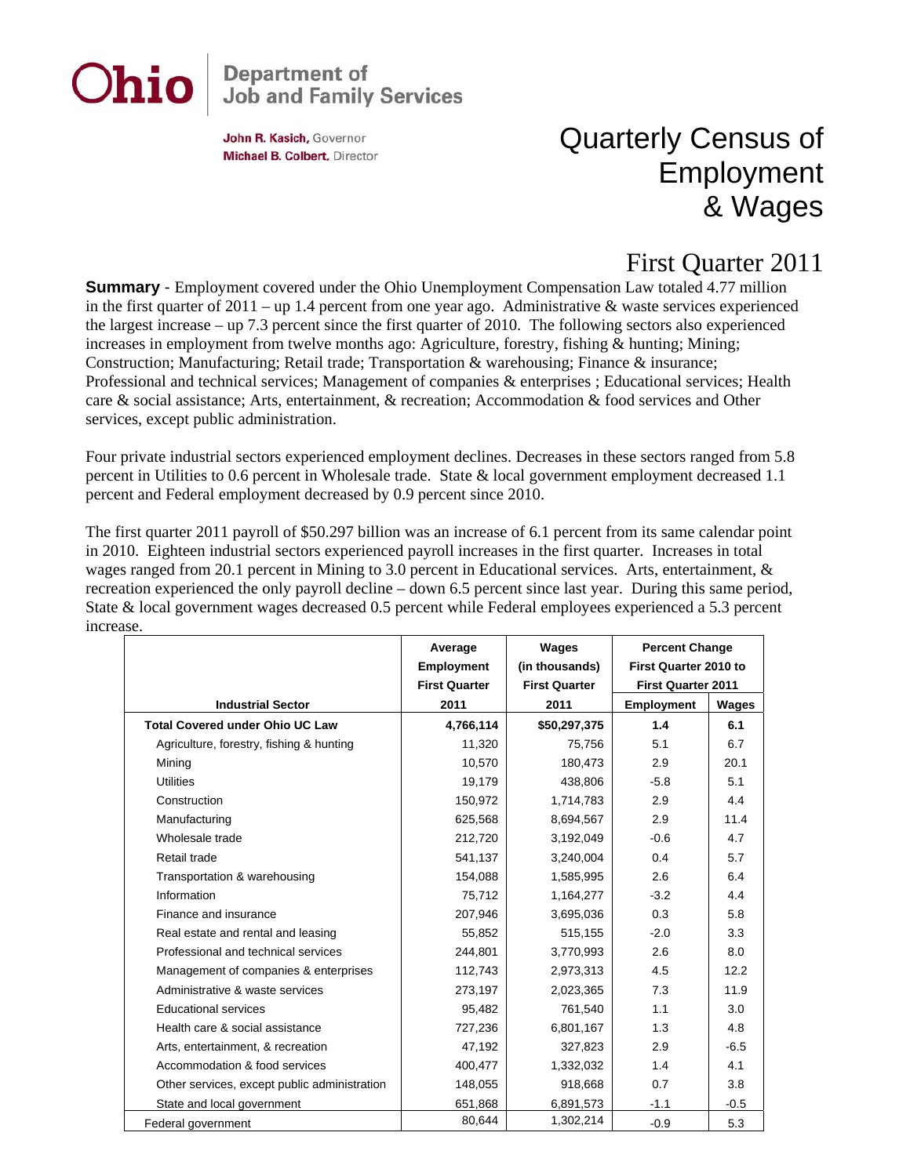# Ohio

## **Department of<br>Job and Family Services**

John R. Kasich, Governor Michael B. Colbert, Director

### Quarterly Census of Employment & Wages

#### First Quarter 2011

**Summary** - Employment covered under the Ohio Unemployment Compensation Law totaled 4.77 million in the first quarter of  $2011 -$ up 1.4 percent from one year ago. Administrative & waste services experienced the largest increase – up 7.3 percent since the first quarter of 2010. The following sectors also experienced increases in employment from twelve months ago: Agriculture, forestry, fishing & hunting; Mining; Construction; Manufacturing; Retail trade; Transportation & warehousing; Finance & insurance; Professional and technical services; Management of companies & enterprises ; Educational services; Health care & social assistance; Arts, entertainment, & recreation; Accommodation & food services and Other services, except public administration.

Four private industrial sectors experienced employment declines. Decreases in these sectors ranged from 5.8 percent in Utilities to 0.6 percent in Wholesale trade. State & local government employment decreased 1.1 percent and Federal employment decreased by 0.9 percent since 2010.

The first quarter 2011 payroll of \$50.297 billion was an increase of 6.1 percent from its same calendar point in 2010. Eighteen industrial sectors experienced payroll increases in the first quarter. Increases in total wages ranged from 20.1 percent in Mining to 3.0 percent in Educational services. Arts, entertainment, & recreation experienced the only payroll decline – down 6.5 percent since last year. During this same period, State & local government wages decreased 0.5 percent while Federal employees experienced a 5.3 percent increase.

|                                              | Average<br><b>Employment</b><br><b>First Quarter</b> | Wages<br>(in thousands)<br><b>First Quarter</b> | <b>Percent Change</b><br>First Quarter 2010 to<br><b>First Quarter 2011</b> |              |
|----------------------------------------------|------------------------------------------------------|-------------------------------------------------|-----------------------------------------------------------------------------|--------------|
| <b>Industrial Sector</b>                     | 2011                                                 | 2011                                            | <b>Employment</b>                                                           | <b>Wages</b> |
| <b>Total Covered under Ohio UC Law</b>       | 4,766,114                                            | \$50,297,375                                    | 1.4                                                                         | 6.1          |
| Agriculture, forestry, fishing & hunting     | 11,320                                               | 75,756                                          | 5.1                                                                         | 6.7          |
| Mining                                       | 10,570                                               | 180,473                                         | 2.9                                                                         | 20.1         |
| <b>Utilities</b>                             | 19,179                                               | 438,806                                         | $-5.8$                                                                      | 5.1          |
| Construction                                 | 150,972                                              | 1,714,783                                       | 2.9                                                                         | 4.4          |
| Manufacturing                                | 625,568                                              | 8,694,567                                       | 2.9                                                                         | 11.4         |
| Wholesale trade                              | 212,720                                              | 3,192,049                                       | $-0.6$                                                                      | 4.7          |
| Retail trade                                 | 541,137                                              | 3,240,004                                       | 0.4                                                                         | 5.7          |
| Transportation & warehousing                 | 154,088                                              | 1,585,995                                       | 2.6                                                                         | 6.4          |
| Information                                  | 75,712                                               | 1,164,277                                       | $-3.2$                                                                      | 4.4          |
| Finance and insurance                        | 207,946                                              | 3,695,036                                       | 0.3                                                                         | 5.8          |
| Real estate and rental and leasing           | 55,852                                               | 515,155                                         | $-2.0$                                                                      | 3.3          |
| Professional and technical services          | 244,801                                              | 3,770,993                                       | 2.6                                                                         | 8.0          |
| Management of companies & enterprises        | 112,743                                              | 2,973,313                                       | 4.5                                                                         | 12.2         |
| Administrative & waste services              | 273,197                                              | 2,023,365                                       | 7.3                                                                         | 11.9         |
| <b>Educational services</b>                  | 95,482                                               | 761,540                                         | 1.1                                                                         | 3.0          |
| Health care & social assistance              | 727,236                                              | 6,801,167                                       | 1.3                                                                         | 4.8          |
| Arts, entertainment, & recreation            | 47,192                                               | 327,823                                         | 2.9                                                                         | $-6.5$       |
| Accommodation & food services                | 400,477                                              | 1,332,032                                       | 1.4                                                                         | 4.1          |
| Other services, except public administration | 148,055                                              | 918,668                                         | 0.7                                                                         | 3.8          |
| State and local government                   | 651,868                                              | 6,891,573                                       | $-1.1$                                                                      | $-0.5$       |
| Federal government                           | 80,644                                               | 1,302,214                                       | $-0.9$                                                                      | 5.3          |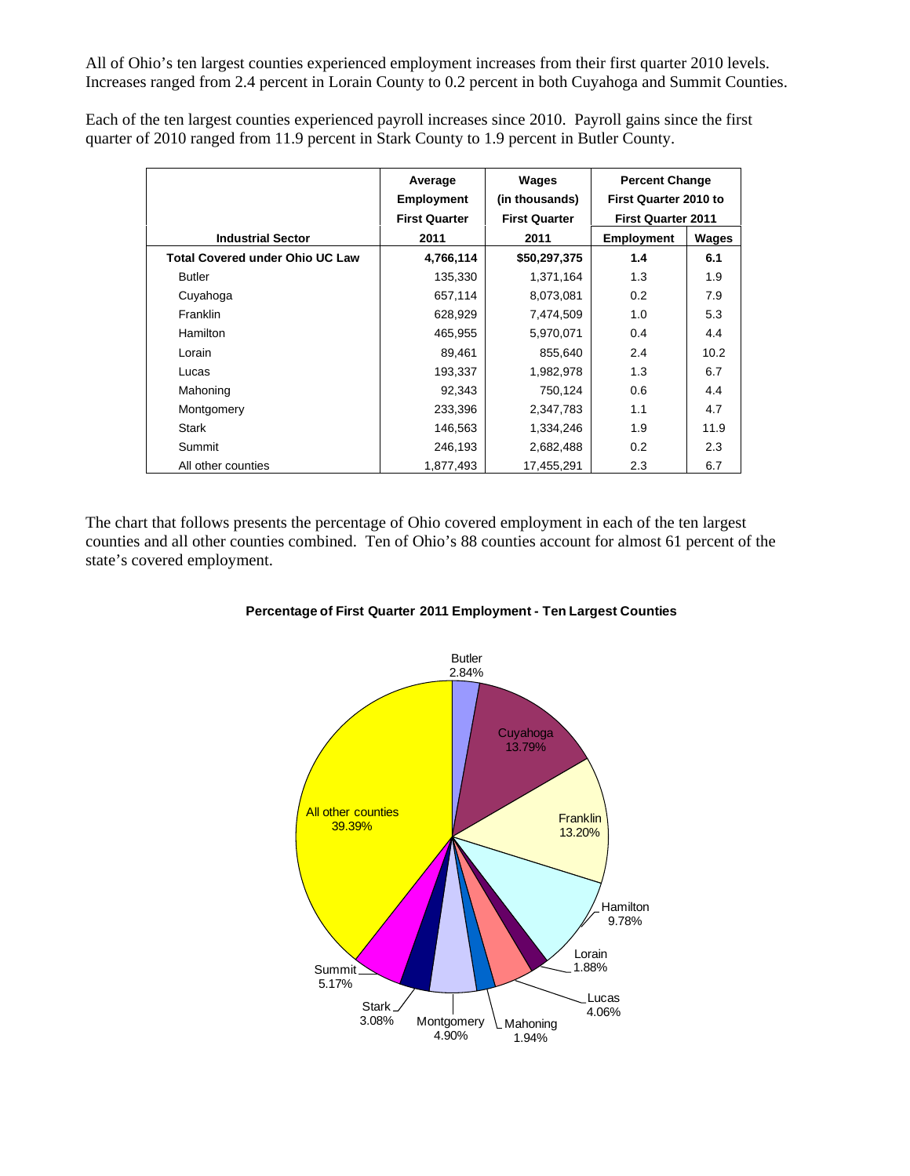All of Ohio's ten largest counties experienced employment increases from their first quarter 2010 levels. Increases ranged from 2.4 percent in Lorain County to 0.2 percent in both Cuyahoga and Summit Counties.

Each of the ten largest counties experienced payroll increases since 2010. Payroll gains since the first quarter of 2010 ranged from 11.9 percent in Stark County to 1.9 percent in Butler County.

|                                        | Average<br><b>Employment</b><br><b>First Quarter</b> | Wages<br>(in thousands)<br><b>First Quarter</b> | <b>Percent Change</b><br><b>First Quarter 2010 to</b><br><b>First Quarter 2011</b> |       |
|----------------------------------------|------------------------------------------------------|-------------------------------------------------|------------------------------------------------------------------------------------|-------|
| <b>Industrial Sector</b>               | 2011                                                 | 2011                                            | <b>Employment</b>                                                                  | Wages |
| <b>Total Covered under Ohio UC Law</b> | 4,766,114                                            | \$50,297,375                                    | 1.4                                                                                | 6.1   |
| <b>Butler</b>                          | 135,330                                              | 1,371,164                                       | 1.3                                                                                | 1.9   |
| Cuyahoga                               | 657,114                                              | 8,073,081                                       | 0.2                                                                                | 7.9   |
| Franklin                               | 628,929                                              | 7,474,509                                       | 1.0                                                                                | 5.3   |
| <b>Hamilton</b>                        | 465,955                                              | 5,970,071                                       | 0.4                                                                                | 4.4   |
| Lorain                                 | 89,461                                               | 855,640                                         | 2.4                                                                                | 10.2  |
| Lucas                                  | 193,337                                              | 1,982,978                                       | 1.3                                                                                | 6.7   |
| Mahoning                               | 92,343                                               | 750,124                                         | 0.6                                                                                | 4.4   |
| Montgomery                             | 233,396                                              | 2,347,783                                       | 1.1                                                                                | 4.7   |
| <b>Stark</b>                           | 146,563                                              | 1.334.246                                       | 1.9                                                                                | 11.9  |
| Summit                                 | 246,193                                              | 2,682,488                                       | 0.2                                                                                | 2.3   |
| All other counties                     | 1,877,493                                            | 17,455,291                                      | 2.3                                                                                | 6.7   |

The chart that follows presents the percentage of Ohio covered employment in each of the ten largest counties and all other counties combined. Ten of Ohio's 88 counties account for almost 61 percent of the state's covered employment.



#### **Percentage of First Quarter 2011 Employment - Ten Largest Counties**